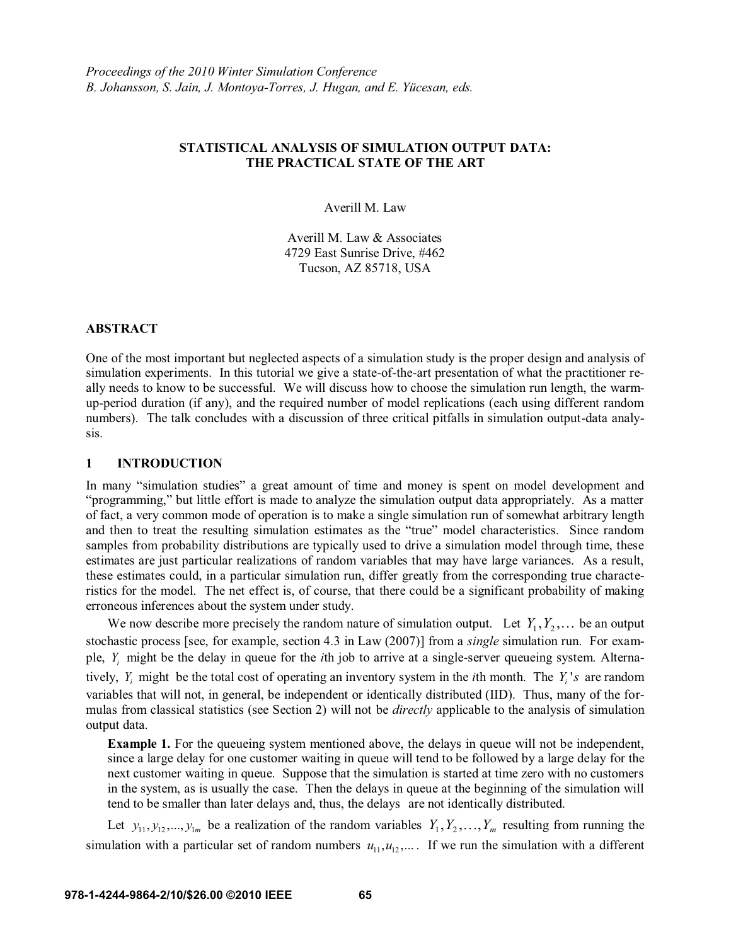# **STATISTICAL ANALYSIS OF SIMULATION OUTPUT DATA: THE PRACTICAL STATE OF THE ART**

Averill M. Law

Averill M. Law & Associates 4729 East Sunrise Drive, #462 Tucson, AZ 85718, USA

## **ABSTRACT**

One of the most important but neglected aspects of a simulation study is the proper design and analysis of simulation experiments. In this tutorial we give a state-of-the-art presentation of what the practitioner really needs to know to be successful. We will discuss how to choose the simulation run length, the warmup-period duration (if any), and the required number of model replications (each using different random numbers). The talk concludes with a discussion of three critical pitfalls in simulation output-data analysis.

### **1 INTRODUCTION**

In many "simulation studies" a great amount of time and money is spent on model development and "programming," but little effort is made to analyze the simulation output data appropriately. As a matter of fact, a very common mode of operation is to make a single simulation run of somewhat arbitrary length and then to treat the resulting simulation estimates as the "true" model characteristics. Since random samples from probability distributions are typically used to drive a simulation model through time, these estimates are just particular realizations of random variables that may have large variances. As a result, these estimates could, in a particular simulation run, differ greatly from the corresponding true characteristics for the model. The net effect is, of course, that there could be a significant probability of making erroneous inferences about the system under study.

We now describe more precisely the random nature of simulation output. Let  $Y_1, Y_2, \ldots$  be an output stochastic process [see, for example, section 4.3 in Law (2007)] from a *single* simulation run. For example, *Yi* might be the delay in queue for the *i*th job to arrive at a single-server queueing system. Alternatively,  $Y_i$  might be the total cost of operating an inventory system in the *i*th month. The  $Y_i$ 's are random variables that will not, in general, be independent or identically distributed (IID). Thus, many of the formulas from classical statistics (see Section 2) will not be *directly* applicable to the analysis of simulation output data.

**Example 1.** For the queueing system mentioned above, the delays in queue will not be independent, since a large delay for one customer waiting in queue will tend to be followed by a large delay for the next customer waiting in queue. Suppose that the simulation is started at time zero with no customers in the system, as is usually the case. Then the delays in queue at the beginning of the simulation will tend to be smaller than later delays and, thus, the delays are not identically distributed.

Let  $y_{11}, y_{12},..., y_{1m}$  be a realization of the random variables  $Y_1, Y_2,..., Y_m$  resulting from running the simulation with a particular set of random numbers  $u_{11}, u_{12}, \ldots$ . If we run the simulation with a different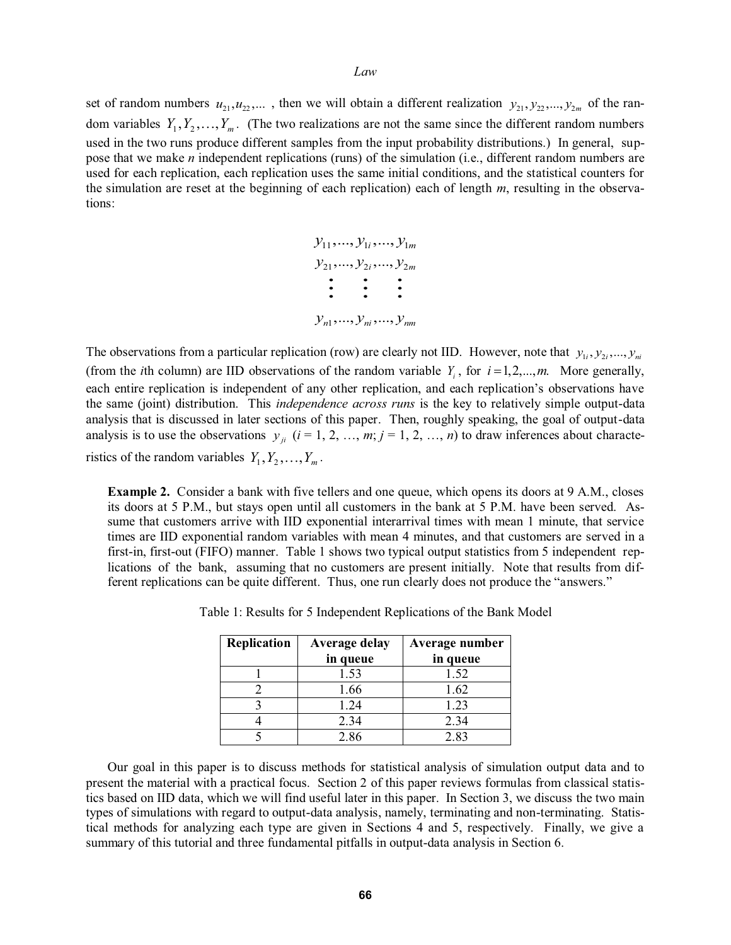set of random numbers  $u_{21}, u_{22}, \dots$ , then we will obtain a different realization  $y_{21}, y_{22}, \dots, y_{2m}$  of the random variables  $Y_1, Y_2, \ldots, Y_m$ . (The two realizations are not the same since the different random numbers used in the two runs produce different samples from the input probability distributions.) In general, suppose that we make *n* independent replications (runs) of the simulation (i.e., different random numbers are used for each replication, each replication uses the same initial conditions, and the statistical counters for the simulation are reset at the beginning of each replication) each of length *m*, resulting in the observations:



The observations from a particular replication (row) are clearly not IID. However, note that  $y_{1i}, y_{2i},..., y_{ni}$ (from the *i*th column) are IID observations of the random variable  $Y_i$ , for  $i = 1, 2, \dots, m$ . More generally, each entire replication is independent of any other replication, and each replication's observations have the same (joint) distribution. This *independence across runs* is the key to relatively simple output-data analysis that is discussed in later sections of this paper. Then, roughly speaking, the goal of output-data analysis is to use the observations  $y_{ji}$  ( $i = 1, 2, ..., m; j = 1, 2, ..., n$ ) to draw inferences about characteristics of the random variables  $Y_1, Y_2, \ldots, Y_m$ .

**Example 2.** Consider a bank with five tellers and one queue, which opens its doors at 9 A.M., closes its doors at 5 P.M., but stays open until all customers in the bank at 5 P.M. have been served. Assume that customers arrive with IID exponential interarrival times with mean 1 minute, that service times are IID exponential random variables with mean 4 minutes, and that customers are served in a first-in, first-out (FIFO) manner. Table 1 shows two typical output statistics from 5 independent replications of the bank, assuming that no customers are present initially. Note that results from dif ferent replications can be quite different. Thus, one run clearly does not produce the "answers."

| Replication | Average delay<br>in queue | Average number<br>in queue |
|-------------|---------------------------|----------------------------|
|             | 1.53                      | 1.52                       |
|             | 1.66                      | 1.62                       |
|             | 1.24                      | 1.23                       |
|             | 2.34                      | 2.34                       |
|             | 2.86                      | 2.83                       |

Table 1: Results for 5 Independent Replications of the Bank Model

Our goal in this paper is to discuss methods for statistical analysis of simulation output data and to present the material with a practical focus. Section 2 of this paper reviews formulas from classical statistics based on IID data, which we will find useful later in this paper. In Section 3, we discuss the two main types of simulations with regard to output-data analysis, namely, terminating and non-terminating. Statistical methods for analyzing each type are given in Sections 4 and 5, respectively. Finally, we give a summary of this tutorial and three fundamental pitfalls in output-data analysis in Section 6.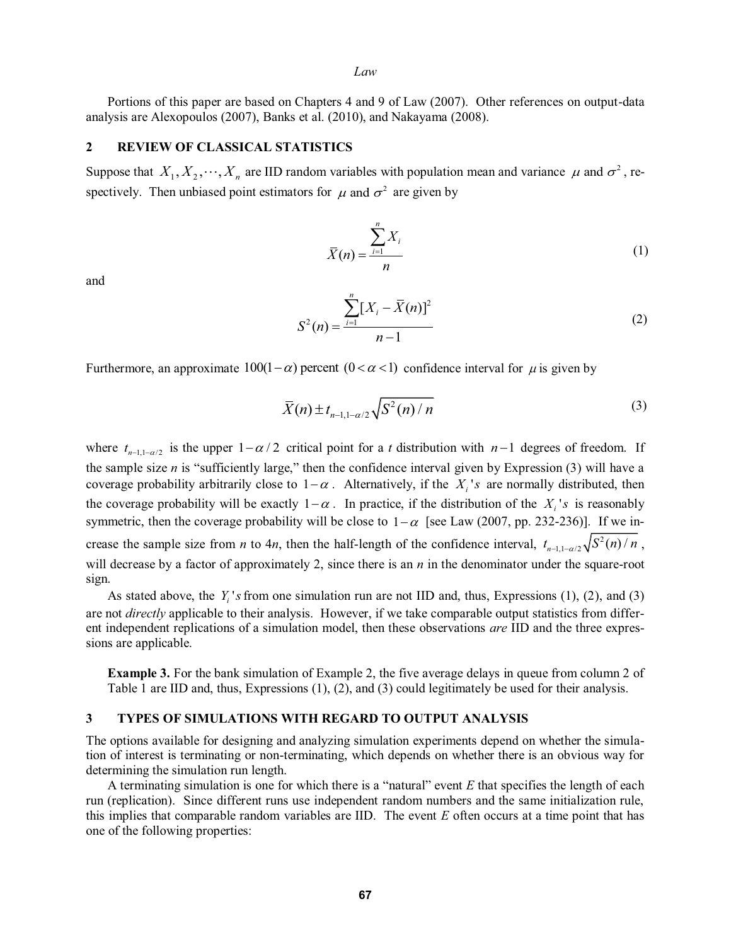Portions of this paper are based on Chapters 4 and 9 of Law (2007). Other references on output-data analysis are Alexopoulos (2007), Banks et al. (2010), and Nakayama (2008).

# **2 REVIEW OF CLASSICAL STATISTICS**

Suppose that  $X_1, X_2, \dots, X_n$  are IID random variables with population mean and variance  $\mu$  and  $\sigma^2$ , respectively. Then unbiased point estimators for  $\mu$  and  $\sigma^2$  are given by

$$
\overline{X}(n) = \frac{\sum_{i=1}^{n} X_i}{n}
$$
 (1)

and

$$
S^{2}(n) = \frac{\sum_{i=1}^{n} [X_{i} - \bar{X}(n)]^{2}}{n-1}
$$
 (2)

Furthermore, an approximate  $100(1-\alpha)$  percent  $(0 < \alpha < 1)$  confidence interval for  $\mu$  is given by

$$
\overline{X}(n) \pm t_{n-1,1-\alpha/2} \sqrt{S^2(n)/n}
$$
 (3)

where  $t_{n-1,1-\alpha/2}$  is the upper  $1-\alpha/2$  critical point for a *t* distribution with  $n-1$  degrees of freedom. If the sample size  $n$  is "sufficiently large," then the confidence interval given by Expression  $(3)$  will have a coverage probability arbitrarily close to  $1 - \alpha$ . Alternatively, if the  $X_i$ 's are normally distributed, then the coverage probability will be exactly  $1 - \alpha$ . In practice, if the distribution of the  $X_i$ 's is reasonably symmetric, then the coverage probability will be close to  $1 - \alpha$  [see Law (2007, pp. 232-236)]. If we increase the sample size from *n* to 4*n*, then the half-length of the confidence interval,  $t_{n-1,1-\alpha/2} \sqrt{S^2(n)/n}$ , will decrease by a factor of approximately 2, since there is an *n* in the denominator under the square-root sign.

As stated above, the  $Y_i$ 's from one simulation run are not IID and, thus, Expressions  $(1)$ ,  $(2)$ , and  $(3)$ are not *directly* applicable to their analysis. However, if we take comparable output statistics from different independent replications of a simulation model, then these observations *are* IID and the three expressions are applicable.

**Example 3.** For the bank simulation of Example 2, the five average delays in queue from column 2 of Table 1 are IID and, thus, Expressions (1), (2), and (3) could legitimately be used for their analysis.

### **3 TYPES OF SIMULATIONS WITH REGARD TO OUTPUT ANALYSIS**

The options available for designing and analyzing simulation experiments depend on whether the simulation of interest is terminating or non-terminating, which depends on whether there is an obvious way for determining the simulation run length.

A terminating simulation is one for which there is a "natural" event  $E$  that specifies the length of each run (replication). Since different runs use independent random numbers and the same initialization rule, this implies that comparable random variables are IID. The event *E* often occurs at a time point that has one of the following properties: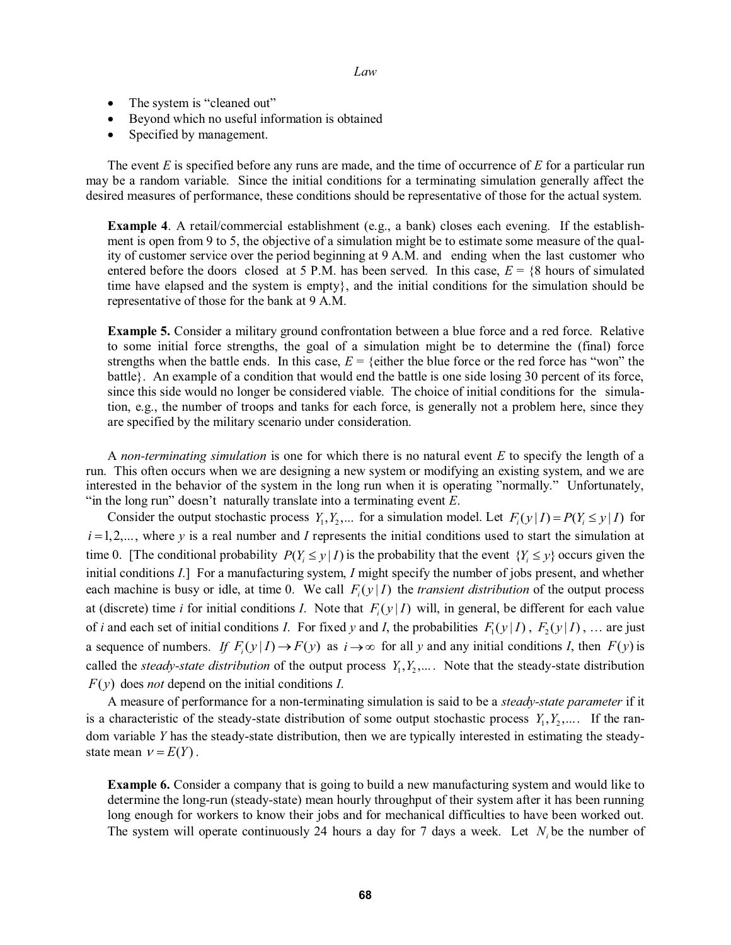- $\bullet$ • The system is "cleaned out"
- $\bullet$ Beyond which no useful information is obtained
- $\bullet$ Specified by management.

 The event *E* is specified before any runs are made, and the time of occurrence of *E* for a particular run may be a random variable. Since the initial conditions for a terminating simulation generally affect the desired measures of performance, these conditions should be representative of those for the actual system.

**Example 4.** A retail/commercial establishment (e.g., a bank) closes each evening. If the establishment is open from 9 to 5, the objective of a simulation might be to estimate some measure of the quality of customer service over the period beginning at 9 A.M. and ending when the last customer who entered before the doors closed at 5 P.M. has been served. In this case,  $E = \{8 \text{ hours of simulated}$ time have elapsed and the system is empty}, and the initial conditions for the simulation should be representative of those for the bank at 9 A.M.

**Example 5.** Consider a military ground confrontation between a blue force and a red force. Relative to some initial force strengths, the goal of a simulation might be to determine the (final) force strengths when the battle ends. In this case,  $E = \{$ either the blue force or the red force has "won" the battle}. An example of a condition that would end the battle is one side losing 30 percent of its force, since this side would no longer be considered viable. The choice of initial conditions for the simulation, e.g., the number of troops and tanks for each force, is generally not a problem here, since they are specified by the military scenario under consideration.

 A *non-terminating simulation* is one for which there is no natural event *E* to specify the length of a run. This often occurs when we are designing a new system or modifying an existing system, and we are interested in the behavior of the system in the long run when it is operating "normally." Unfortunately, "in the long run" doesn't naturally translate into a terminating event *E*.

Consider the output stochastic process  $Y_1, Y_2, ...$  for a simulation model. Let  $F_i(y | I) = P(Y_i \le y | I)$  for  $i = 1, 2, \ldots$ , where *y* is a real number and *I* represents the initial conditions used to start the simulation at time 0. [The conditional probability  $P(Y_i \leq y | I)$  is the probability that the event  $\{Y_i \leq y\}$  occurs given the initial conditions *I*.] For a manufacturing system, *I* might specify the number of jobs present, and whether each machine is busy or idle, at time 0. We call  $F_i(y|I)$  the *transient distribution* of the output process at (discrete) time *i* for initial conditions *I*. Note that  $F_i(y|I)$  will, in general, be different for each value of *i* and each set of initial conditions *I*. For fixed *y* and *I*, the probabilities  $F_1(y|I)$ ,  $F_2(y|I)$ , ... are just a sequence of numbers. If  $F_i(y|I) \to F(y)$  as  $i \to \infty$  for all y and any initial conditions *I*, then  $F(y)$  is called the *steady-state distribution* of the output process  $Y_1, Y_2, \ldots$ . Note that the steady-state distribution  $F(y)$  does *not* depend on the initial conditions *I*.

 A measure of performance for a non-terminating simulation is said to be a *steady-state parameter* if it is a characteristic of the steady-state distribution of some output stochastic process  $Y_1, Y_2, \ldots$ . If the random variable *Y* has the steady-state distribution, then we are typically interested in estimating the steadystate mean  $v = E(Y)$ .

**Example 6.** Consider a company that is going to build a new manufacturing system and would like to determine the long-run (steady-state) mean hourly throughput of their system after it has been running long enough for workers to know their jobs and for mechanical difficulties to have been worked out. The system will operate continuously 24 hours a day for 7 days a week. Let  $N_i$  be the number of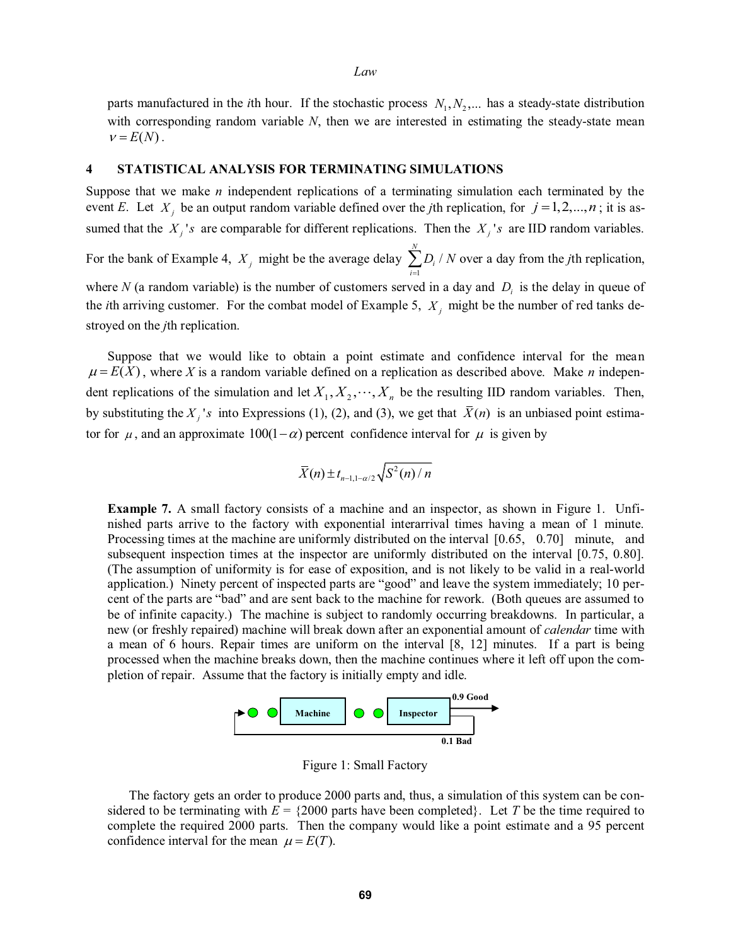parts manufactured in the *i*th hour. If the stochastic process  $N_1, N_2, \dots$  has a steady-state distribution with corresponding random variable *N*, then we are interested in estimating the steady-state mean  $v = E(N)$ .

*Law* 

### **4 STATISTICAL ANALYSIS FOR TERMINATING SIMULATIONS**

Suppose that we make *n* independent replications of a terminating simulation each terminated by the event *E*. Let  $X_j$  be an output random variable defined over the *j*th replication, for  $j = 1, 2, ..., n$ ; it is assumed that the  $X_i$ 's are comparable for different replications. Then the  $X_i$ 's are IID random variables.

For the bank of Example 4,  $X_j$  might be the average delay  $\sum_{i=1}^{N} D_i$  $\sum_{i=1}$ <sup> $\nu_i$ </sup>  $\sum_{i=1}^{N} D_i / N$  over a day from the *j*th replication,

where *N* (a random variable) is the number of customers served in a day and  $D<sub>i</sub>$  is the delay in queue of the *i*th arriving customer. For the combat model of Example 5,  $X_i$  might be the number of red tanks destroyed on the *j*th replication.

 Suppose that we would like to obtain a point estimate and confidence interval for the mean  $\mu = E(X)$ , where *X* is a random variable defined on a replication as described above. Make *n* independent replications of the simulation and let  $X_1, X_2, \dots, X_n$  be the resulting IID random variables. Then, by substituting the  $X_i$ 's into Expressions (1), (2), and (3), we get that  $\bar{X}(n)$  is an unbiased point estimator for  $\mu$ , and an approximate  $100(1-\alpha)$  percent confidence interval for  $\mu$  is given by

$$
\bar{X}(n) \pm t_{n-1,1-\alpha/2} \sqrt{S^2(n)/n}
$$

**Example 7.** A small factory consists of a machine and an inspector, as shown in Figure 1. Unfinished parts arrive to the factory with exponential interarrival times having a mean of 1 minute. Processing times at the machine are uniformly distributed on the interval [0.65, 0.70] minute, and subsequent inspection times at the inspector are uniformly distributed on the interval [0.75, 0.80]. (The assumption of uniformity is for ease of exposition, and is not likely to be valid in a real-world application.) Ninety percent of inspected parts are "good" and leave the system immediately; 10 percent of the parts are "bad" and are sent back to the machine for rework. (Both queues are assumed to be of infinite capacity.) The machine is subject to randomly occurring breakdowns. In particular, a new (or freshly repaired) machine will break down after an exponential amount of *calendar* time with a mean of 6 hours. Repair times are uniform on the interval [8, 12] minutes. If a part is being processed when the machine breaks down, then the machine continues where it left off upon the completion of repair. Assume that the factory is initially empty and idle.



Figure 1: Small Factory

 The factory gets an order to produce 2000 parts and, thus, a simulation of this system can be considered to be terminating with  $E = \{2000 \text{ parts have been completed}\}\.$  Let *T* be the time required to complete the required 2000 parts. Then the company would like a point estimate and a 95 percent confidence interval for the mean  $\mu = E(T)$ .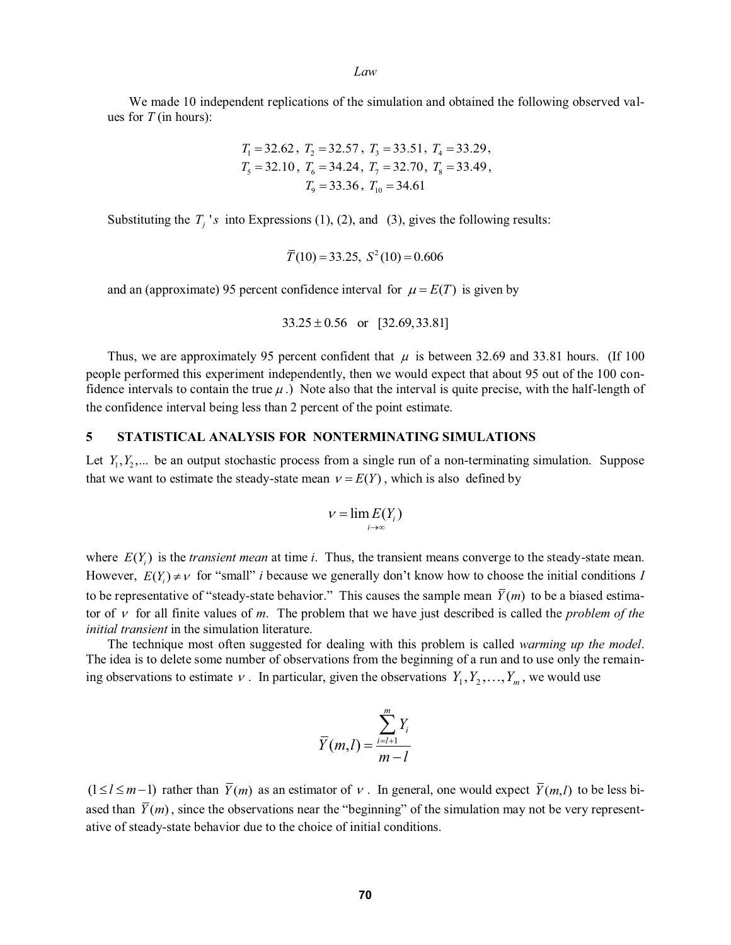We made 10 independent replications of the simulation and obtained the following observed values for *T* (in hours):

$$
T_1 = 32.62
$$
,  $T_2 = 32.57$ ,  $T_3 = 33.51$ ,  $T_4 = 33.29$ ,  
\n $T_5 = 32.10$ ,  $T_6 = 34.24$ ,  $T_7 = 32.70$ ,  $T_8 = 33.49$ ,  
\n $T_9 = 33.36$ ,  $T_{10} = 34.61$ 

Substituting the  $T_i$ 's into Expressions (1), (2), and (3), gives the following results:

$$
\overline{T}(10) = 33.25
$$
,  $S^2(10) = 0.606$ 

and an (approximate) 95 percent confidence interval for  $\mu = E(T)$  is given by

$$
33.25 \pm 0.56 \quad \text{or} \quad [32.69, 33.81]
$$

Thus, we are approximately 95 percent confident that  $\mu$  is between 32.69 and 33.81 hours. (If 100 people performed this experiment independently, then we would expect that about 95 out of the 100 confidence intervals to contain the true  $\mu$ .) Note also that the interval is quite precise, with the half-length of the confidence interval being less than 2 percent of the point estimate.

# **5 STATISTICAL ANALYSIS FOR NONTERMINATING SIMULATIONS**

Let  $Y_1, Y_2, \ldots$  be an output stochastic process from a single run of a non-terminating simulation. Suppose that we want to estimate the steady-state mean  $v = E(Y)$ , which is also defined by

$$
v=\lim_{i\to\infty}E(Y_i)
$$

where  $E(Y_i)$  is the *transient mean* at time *i*. Thus, the transient means converge to the steady-state mean. However,  $E(Y_i) \neq v$  for "small" *i* because we generally don't know how to choose the initial conditions *I* to be representative of "steady-state behavior." This causes the sample mean  $\overline{Y}(m)$  to be a biased estimator of  $\nu$  for all finite values of *m*. The problem that we have just described is called the *problem of the initial transient* in the simulation literature.

 The technique most often suggested for dealing with this problem is called *warming up the model*. The idea is to delete some number of observations from the beginning of a run and to use only the remaining observations to estimate  $v$ . In particular, given the observations  $Y_1, Y_2, \ldots, Y_m$ , we would use

$$
\overline{Y}(m,l) = \frac{\sum_{i=l+1}^{m} Y_i}{m-l}
$$

 $(1 \leq l \leq m-1)$  rather than  $\overline{Y}(m)$  as an estimator of v. In general, one would expect  $\overline{Y}(m,l)$  to be less biased than  $\overline{Y}(m)$ , since the observations near the "beginning" of the simulation may not be very representative of steady-state behavior due to the choice of initial conditions.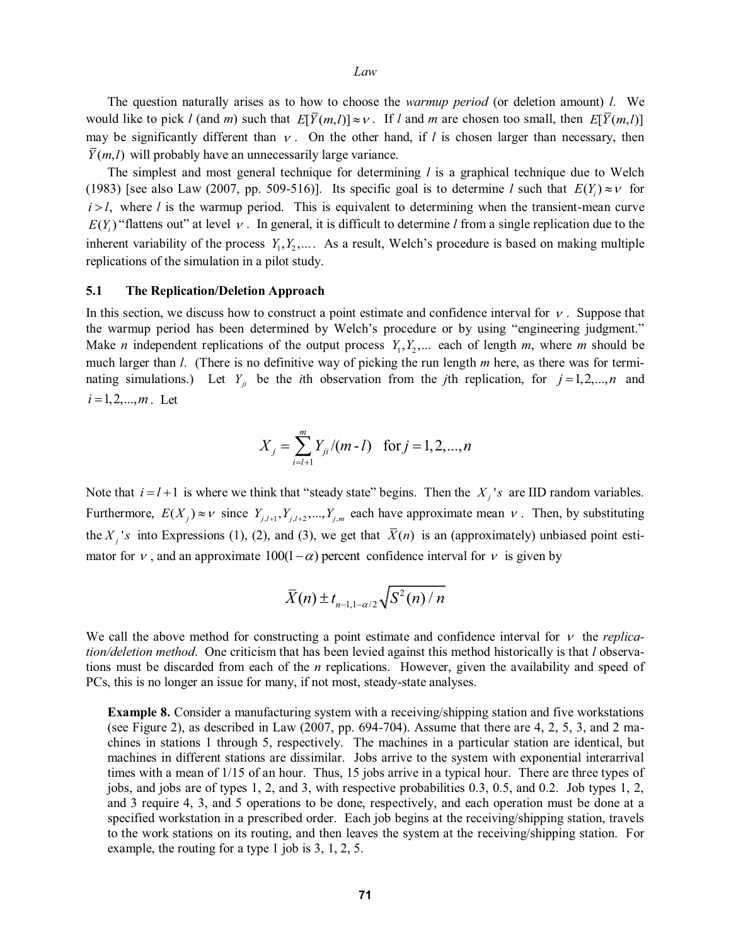The question naturally arises as to how to choose the *warmup period* (or deletion amount) *l*. We would like to pick *l* (and *m*) such that  $E[\bar{Y}(m,l)] \approx v$ . If *l* and *m* are chosen too small, then  $E[\bar{Y}(m,l)]$ may be significantly different than  $\nu$ . On the other hand, if *l* is chosen larger than necessary, then  $\overline{Y}(m,l)$  will probably have an unnecessarily large variance.

 The simplest and most general technique for determining *l* is a graphical technique due to Welch (1983) [see also Law (2007, pp. 509-516)]. Its specific goal is to determine *l* such that  $E(Y_i) \approx v$  for  $i > l$ , where *l* is the warmup period. This is equivalent to determining when the transient-mean curve  $E(Y_i)$  "flattens out" at level  $v$ . In general, it is difficult to determine *l* from a single replication due to the inherent variability of the process  $Y_1, Y_2, \ldots$ . As a result, Welch's procedure is based on making multiple replications of the simulation in a pilot study.

### **5.1 The Replication/Deletion Approach**

In this section, we discuss how to construct a point estimate and confidence interval for  $\nu$ . Suppose that the warmup period has been determined by Welch's procedure or by using "engineering judgment." Make *n* independent replications of the output process  $Y_1, Y_2, \dots$  each of length *m*, where *m* should be much larger than *l*. (There is no definitive way of picking the run length *m* here, as there was for terminating simulations.) Let  $Y_{ji}$  be the *i*th observation from the *j*th replication, for  $j = 1, 2, ..., n$  and  $i = 1, 2, ..., m$ . Let

$$
X_j = \sum_{i=l+1}^{m} Y_{ji} / (m-l) \text{ for } j = 1, 2, ..., n
$$

Note that  $i = l + 1$  is where we think that "steady state" begins. Then the  $X_j$ 's are IID random variables. Furthermore,  $E(X_j) \approx v$  since  $Y_{j,l+1}, Y_{j,l+2},..., Y_{j,m}$  each have approximate mean v. Then, by substituting the  $X_i$ 's into Expressions (1), (2), and (3), we get that  $\bar{X}(n)$  is an (approximately) unbiased point estimator for v, and an approximate  $100(1-\alpha)$  percent confidence interval for v is given by

$$
\bar{X}(n) \pm t_{n-1,1-\alpha/2} \sqrt{S^2(n)/n}
$$

We call the above method for constructing a point estimate and confidence interval for  $v$  the *replication/deletion method*. One criticism that has been levied against this method historically is that *l* observations must be discarded from each of the *n* replications. However, given the availability and speed of PCs, this is no longer an issue for many, if not most, steady-state analyses.

**Example 8.** Consider a manufacturing system with a receiving/shipping station and five workstations (see Figure 2), as described in Law (2007, pp. 694-704). Assume that there are 4, 2, 5, 3, and 2 machines in stations 1 through 5, respectively. The machines in a particular station are identical, but machines in different stations are dissimilar. Jobs arrive to the system with exponential interarrival times with a mean of 1/15 of an hour. Thus, 15 jobs arrive in a typical hour. There are three types of jobs, and jobs are of types 1, 2, and 3, with respective probabilities 0.3, 0.5, and 0.2. Job types 1, 2, and 3 require 4, 3, and 5 operations to be done, respectively, and each operation must be done at a specified workstation in a prescribed order. Each job begins at the receiving/shipping station, travels to the work stations on its routing, and then leaves the system at the receiving/shipping station. For example, the routing for a type 1 job is 3, 1, 2, 5.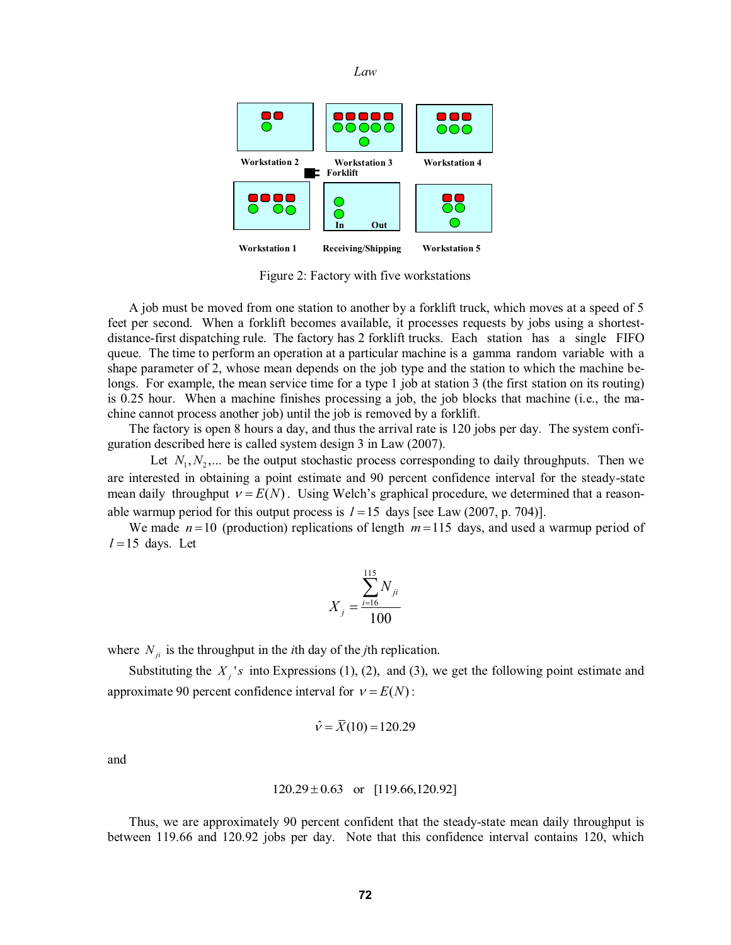

Figure 2: Factory with five workstations

 A job must be moved from one station to another by a forklift truck, which moves at a speed of 5 feet per second. When a forklift becomes available, it processes requests by jobs using a shortestdistance-first dispatching rule. The factory has 2 forklift trucks. Each station has a single FIFO queue. The time to perform an operation at a particular machine is a gamma random variable with a shape parameter of 2, whose mean depends on the job type and the station to which the machine belongs. For example, the mean service time for a type 1 job at station 3 (the first station on its routing) is 0.25 hour. When a machine finishes processing a job, the job blocks that machine (i.e., the machine cannot process another job) until the job is removed by a forklift.

 The factory is open 8 hours a day, and thus the arrival rate is 120 jobs per day. The system configuration described here is called system design 3 in Law (2007).

Let  $N_1, N_2, \ldots$  be the output stochastic process corresponding to daily throughputs. Then we are interested in obtaining a point estimate and 90 percent confidence interval for the steady-state mean daily throughput  $v = E(N)$ . Using Welch's graphical procedure, we determined that a reasonable warmup period for this output process is  $l = 15$  days [see Law (2007, p. 704)].

We made  $n=10$  (production) replications of length  $m=115$  days, and used a warmup period of  $l = 15$  days. Let

$$
X_j = \frac{\sum_{i=16}^{115} N_{ji}}{100}
$$

where  $N_{ij}$  is the throughput in the *i*th day of the *j*th replication.

Substituting the  $X_i$ 's into Expressions (1), (2), and (3), we get the following point estimate and approximate 90 percent confidence interval for  $v = E(N)$ :

$$
\hat{v} = \bar{X}(10) = 120.29
$$

and

$$
120.29 \pm 0.63 \quad \text{or} \quad [119.66, 120.92]
$$

 Thus, we are approximately 90 percent confident that the steady-state mean daily throughput is between 119.66 and 120.92 jobs per day. Note that this confidence interval contains 120, which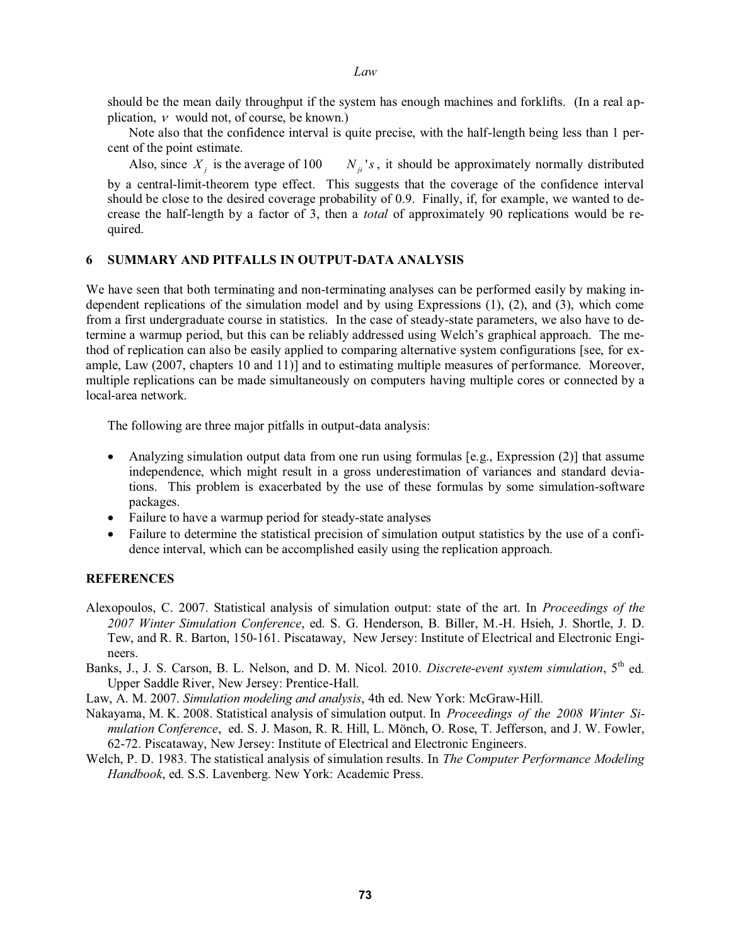should be the mean daily throughput if the system has enough machines and forklifts. (In a real application,  $\nu$  would not, of course, be known.)

 Note also that the confidence interval is quite precise, with the half-length being less than 1 percent of the point estimate.

Also, since  $X_i$  is the average of 100  $N_{ii}$ 's, it should be approximately normally distributed

by a central-limit-theorem type effect. This suggests that the coverage of the confidence interval should be close to the desired coverage probability of 0.9. Finally, if, for example, we wanted to decrease the half-length by a factor of 3, then a *total* of approximately 90 replications would be required.

# **6 SUMMARY AND PITFALLS IN OUTPUT-DATA ANALYSIS**

We have seen that both terminating and non-terminating analyses can be performed easily by making independent replications of the simulation model and by using Expressions (1), (2), and (3), which come from a first undergraduate course in statistics. In the case of steady-state parameters, we also have to determine a warmup period, but this can be reliably addressed using Welch's graphical approach. The method of replication can also be easily applied to comparing alternative system configurations [see, for example, Law (2007, chapters 10 and 11)] and to estimating multiple measures of performance. Moreover, multiple replications can be made simultaneously on computers having multiple cores or connected by a local-area network.

The following are three major pitfalls in output-data analysis:

- $\bullet$  Analyzing simulation output data from one run using formulas [e.g., Expression (2)] that assume independence, which might result in a gross underestimation of variances and standard deviations. This problem is exacerbated by the use of these formulas by some simulation-software packages.
- Failure to have a warmup period for steady-state analyses
- $\bullet$  Failure to determine the statistical precision of simulation output statistics by the use of a confidence interval, which can be accomplished easily using the replication approach.

# **REFERENCES**

- Alexopoulos, C. 2007. Statistical analysis of simulation output: state of the art. In *Proceedings of the 2007 Winter Simulation Conference*, ed. S. G. Henderson, B. Biller, M.-H. Hsieh, J. Shortle, J. D. Tew, and R. R. Barton, 150-161. Piscataway, New Jersey: Institute of Electrical and Electronic Engineers.
- Banks, J., J. S. Carson, B. L. Nelson, and D. M. Nicol. 2010. *Discrete-event system simulation*, 5<sup>th</sup> ed. Upper Saddle River, New Jersey: Prentice-Hall.
- Law, A. M. 2007. *Simulation modeling and analysis*, 4th ed. New York: McGraw-Hill.
- Nakayama, M. K. 2008. Statistical analysis of simulation output. In *Proceedings of the 2008 Winter Simulation Conference*, ed. S. J. Mason, R. R. Hill, L. Mönch, O. Rose, T. Jefferson, and J. W. Fowler, 62-72. Piscataway, New Jersey: Institute of Electrical and Electronic Engineers.
- Welch, P. D. 1983. The statistical analysis of simulation results. In *The Computer Performance Modeling Handbook*, ed. S.S. Lavenberg. New York: Academic Press.